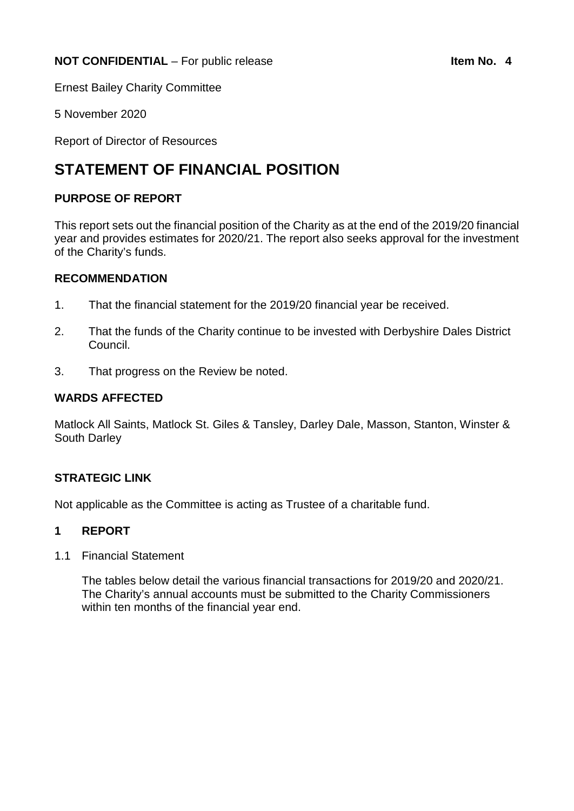Ernest Bailey Charity Committee

5 November 2020

Report of Director of Resources

# **STATEMENT OF FINANCIAL POSITION**

## **PURPOSE OF REPORT**

This report sets out the financial position of the Charity as at the end of the 2019/20 financial year and provides estimates for 2020/21. The report also seeks approval for the investment of the Charity's funds.

## **RECOMMENDATION**

- 1. That the financial statement for the 2019/20 financial year be received.
- 2. That the funds of the Charity continue to be invested with Derbyshire Dales District Council.
- 3. That progress on the Review be noted.

## **WARDS AFFECTED**

Matlock All Saints, Matlock St. Giles & Tansley, Darley Dale, Masson, Stanton, Winster & South Darley

## **STRATEGIC LINK**

Not applicable as the Committee is acting as Trustee of a charitable fund.

## **1 REPORT**

1.1 Financial Statement

The tables below detail the various financial transactions for 2019/20 and 2020/21. The Charity's annual accounts must be submitted to the Charity Commissioners within ten months of the financial year end.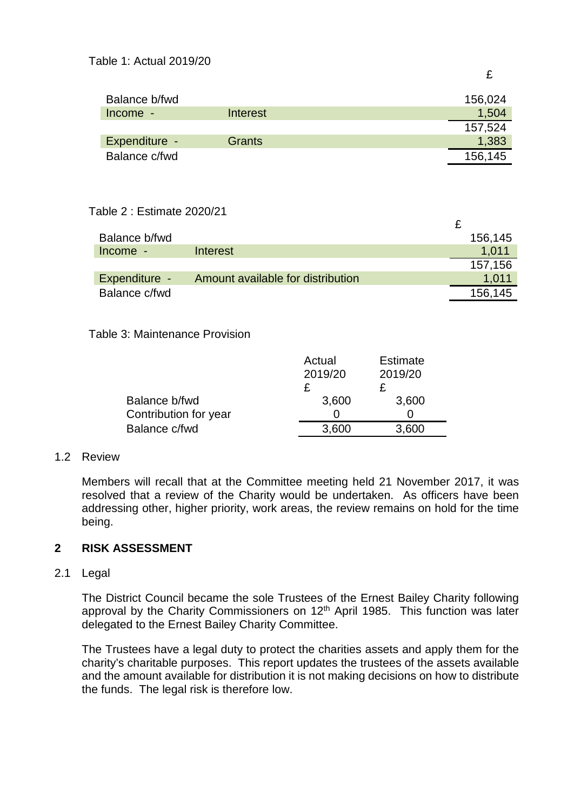| ۰,<br>. . |
|-----------|
|-----------|

 $\Delta$ 

| Balance b/fwd |               | 156,024 |
|---------------|---------------|---------|
| $Income -$    | Interest      | 1,504   |
|               |               | 157,524 |
| Expenditure - | <b>Grants</b> | 1,383   |
| Balance c/fwd |               | 156,145 |

# Table 2 : Estimate 2020/21

| Balance b/fwd |                                   | 156,145 |
|---------------|-----------------------------------|---------|
| $Income -$    | Interest                          | 1.011   |
|               |                                   | 157,156 |
| Expenditure - | Amount available for distribution | 1.011   |
| Balance c/fwd |                                   | 156,145 |

## Table 3: Maintenance Provision

|                       | Actual  | <b>Estimate</b> |
|-----------------------|---------|-----------------|
|                       | 2019/20 | 2019/20         |
|                       |         |                 |
| Balance b/fwd         | 3,600   | 3,600           |
| Contribution for year |         |                 |
| Balance c/fwd         | 3.600   | .600            |

#### 1.2 Review

Members will recall that at the Committee meeting held 21 November 2017, it was resolved that a review of the Charity would be undertaken. As officers have been addressing other, higher priority, work areas, the review remains on hold for the time being.

## **2 RISK ASSESSMENT**

#### 2.1 Legal

The District Council became the sole Trustees of the Ernest Bailey Charity following approval by the Charity Commissioners on 12<sup>th</sup> April 1985. This function was later delegated to the Ernest Bailey Charity Committee.

The Trustees have a legal duty to protect the charities assets and apply them for the charity's charitable purposes. This report updates the trustees of the assets available and the amount available for distribution it is not making decisions on how to distribute the funds. The legal risk is therefore low.